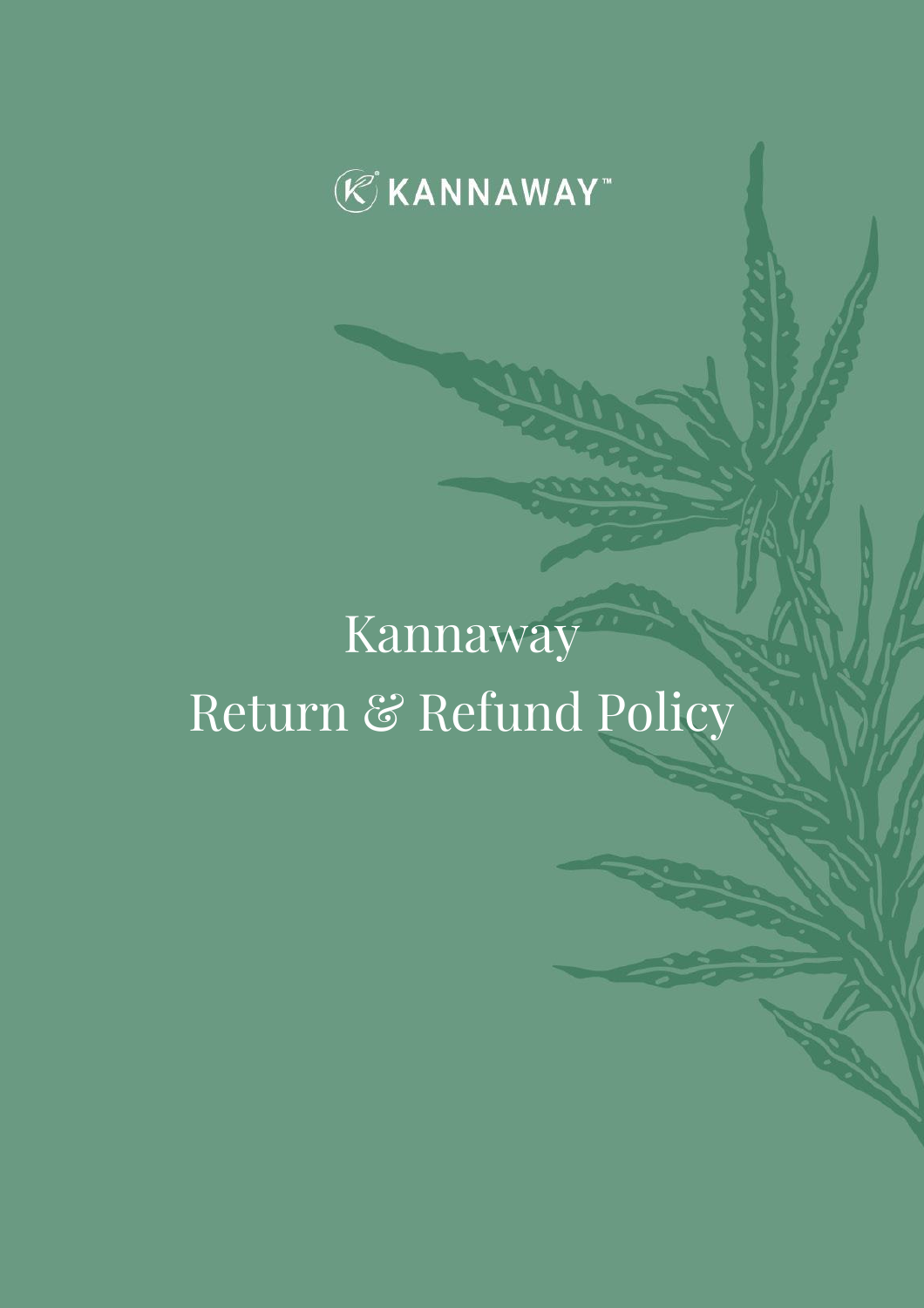

# Kannaway Return & Refund Policy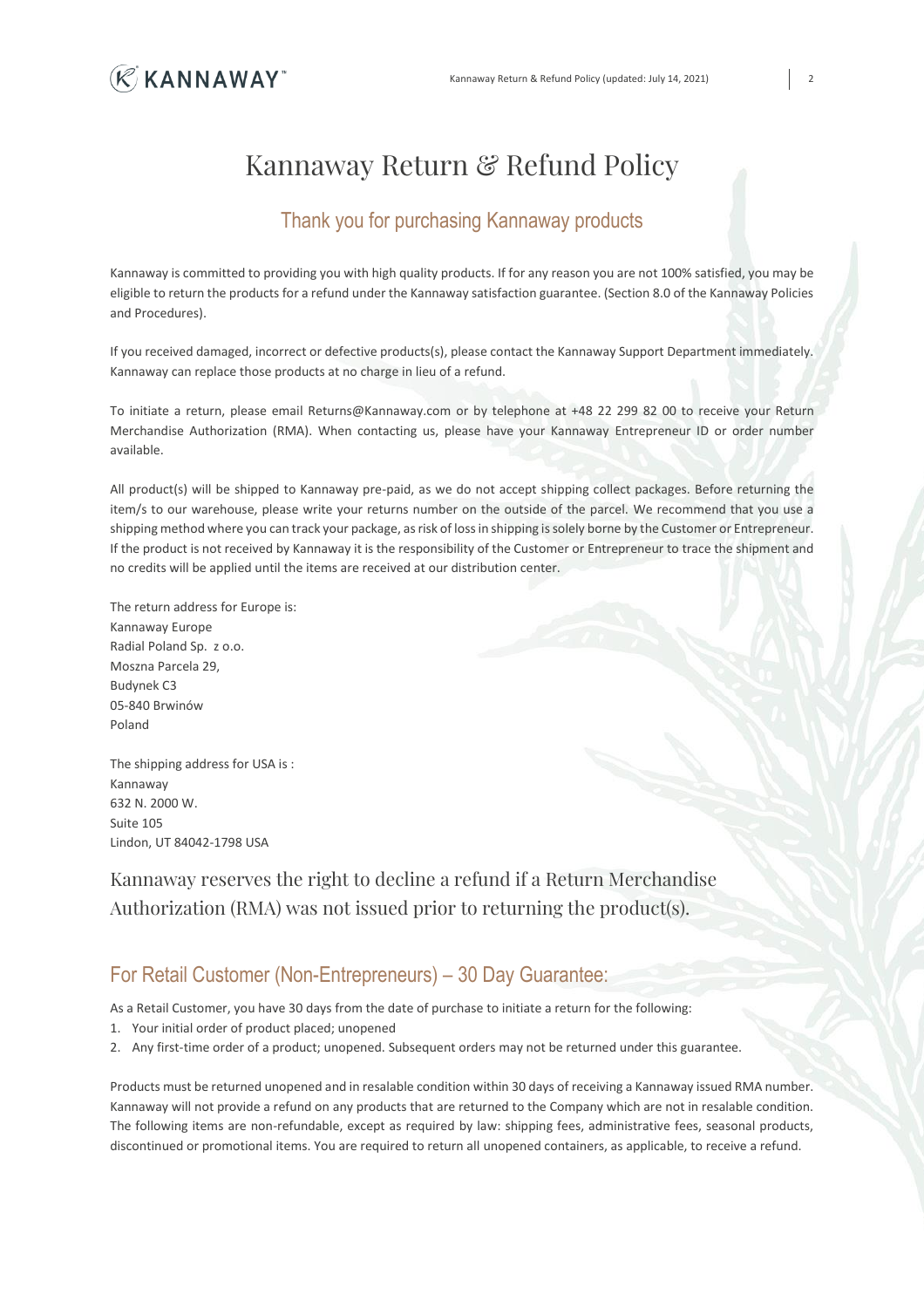

# Kannaway Return & Refund Policy

### Thank you for purchasing Kannaway products

Kannaway is committed to providing you with high quality products. If for any reason you are not 100% satisfied, you may be eligible to return the products for a refund under the Kannaway satisfaction guarantee. (Section 8.0 of the Kannaway Policies and Procedures).

If you received damaged, incorrect or defective products(s), please contact the Kannaway Support Department immediately. Kannaway can replace those products at no charge in lieu of a refund.

To initiate a return, please email Returns@Kannaway.com or by telephone at +48 22 299 82 00 to receive your Return Merchandise Authorization (RMA). When contacting us, please have your Kannaway Entrepreneur ID or order number available.

All product(s) will be shipped to Kannaway pre-paid, as we do not accept shipping collect packages. Before returning the item/s to our warehouse, please write your returns number on the outside of the parcel. We recommend that you use a shipping method where you can track your package, as risk of loss in shipping is solely borne by the Customer or Entrepreneur. If the product is not received by Kannaway it is the responsibility of the Customer or Entrepreneur to trace the shipment and no credits will be applied until the items are received at our distribution center.

The return address for Europe is: Kannaway Europe Radial Poland Sp. z o.o. Moszna Parcela 29, Budynek C3 05-840 Brwinów Poland

The shipping address for USA is : Kannaway 632 N. 2000 W. Suite 105 Lindon, UT 84042-1798 USA

Kannaway reserves the right to decline a refund if a Return Merchandise Authorization (RMA) was not issued prior to returning the product(s).

## For Retail Customer (Non-Entrepreneurs) – 30 Day Guarantee:

As a Retail Customer, you have 30 days from the date of purchase to initiate a return for the following:

- 1. Your initial order of product placed; unopened
- 2. Any first-time order of a product; unopened. Subsequent orders may not be returned under this guarantee.

Products must be returned unopened and in resalable condition within 30 days of receiving a Kannaway issued RMA number. Kannaway will not provide a refund on any products that are returned to the Company which are not in resalable condition. The following items are non-refundable, except as required by law: shipping fees, administrative fees, seasonal products, discontinued or promotional items. You are required to return all unopened containers, as applicable, to receive a refund.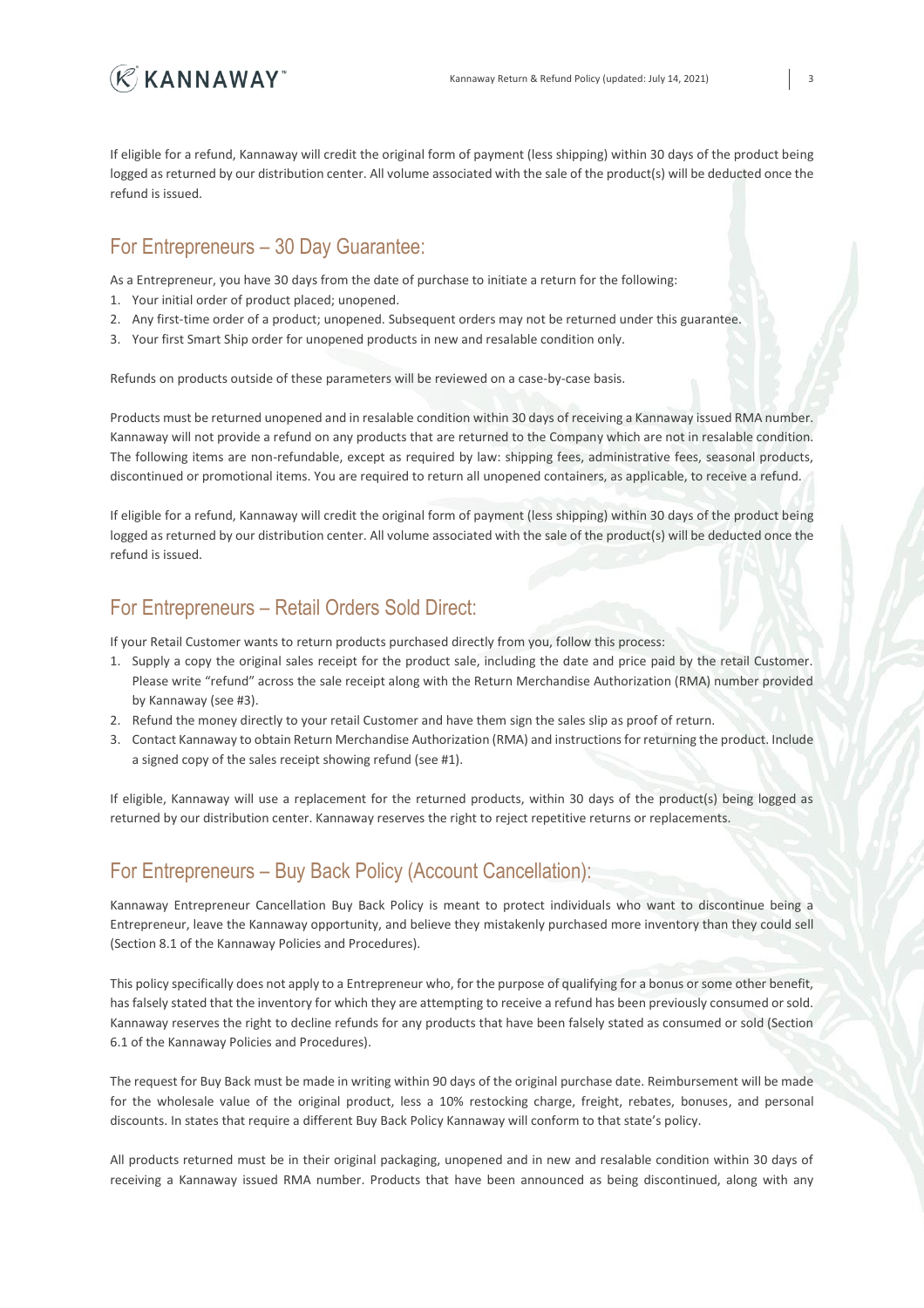

If eligible for a refund, Kannaway will credit the original form of payment (less shipping) within 30 days of the product being logged as returned by our distribution center. All volume associated with the sale of the product(s) will be deducted once the refund is issued.

#### For Entrepreneurs – 30 Day Guarantee:

As a Entrepreneur, you have 30 days from the date of purchase to initiate a return for the following:

- 1. Your initial order of product placed; unopened.
- 2. Any first-time order of a product; unopened. Subsequent orders may not be returned under this guarantee.
- 3. Your first Smart Ship order for unopened products in new and resalable condition only.

Refunds on products outside of these parameters will be reviewed on a case-by-case basis.

Products must be returned unopened and in resalable condition within 30 days of receiving a Kannaway issued RMA number. Kannaway will not provide a refund on any products that are returned to the Company which are not in resalable condition. The following items are non-refundable, except as required by law: shipping fees, administrative fees, seasonal products, discontinued or promotional items. You are required to return all unopened containers, as applicable, to receive a refund.

If eligible for a refund, Kannaway will credit the original form of payment (less shipping) within 30 days of the product being logged as returned by our distribution center. All volume associated with the sale of the product(s) will be deducted once the refund is issued.

# For Entrepreneurs – Retail Orders Sold Direct:

If your Retail Customer wants to return products purchased directly from you, follow this process:

- 1. Supply a copy the original sales receipt for the product sale, including the date and price paid by the retail Customer. Please write "refund" across the sale receipt along with the Return Merchandise Authorization (RMA) number provided by Kannaway (see #3).
- 2. Refund the money directly to your retail Customer and have them sign the sales slip as proof of return.
- 3. Contact Kannaway to obtain Return Merchandise Authorization (RMA) and instructions for returning the product. Include a signed copy of the sales receipt showing refund (see #1).

If eligible, Kannaway will use a replacement for the returned products, within 30 days of the product(s) being logged as returned by our distribution center. Kannaway reserves the right to reject repetitive returns or replacements.

### For Entrepreneurs – Buy Back Policy (Account Cancellation):

Kannaway Entrepreneur Cancellation Buy Back Policy is meant to protect individuals who want to discontinue being a Entrepreneur, leave the Kannaway opportunity, and believe they mistakenly purchased more inventory than they could sell (Section 8.1 of the Kannaway Policies and Procedures).

This policy specifically does not apply to a Entrepreneur who, for the purpose of qualifying for a bonus or some other benefit, has falsely stated that the inventory for which they are attempting to receive a refund has been previously consumed or sold. Kannaway reserves the right to decline refunds for any products that have been falsely stated as consumed or sold (Section 6.1 of the Kannaway Policies and Procedures).

The request for Buy Back must be made in writing within 90 days of the original purchase date. Reimbursement will be made for the wholesale value of the original product, less a 10% restocking charge, freight, rebates, bonuses, and personal discounts. In states that require a different Buy Back Policy Kannaway will conform to that state's policy.

All products returned must be in their original packaging, unopened and in new and resalable condition within 30 days of receiving a Kannaway issued RMA number. Products that have been announced as being discontinued, along with any